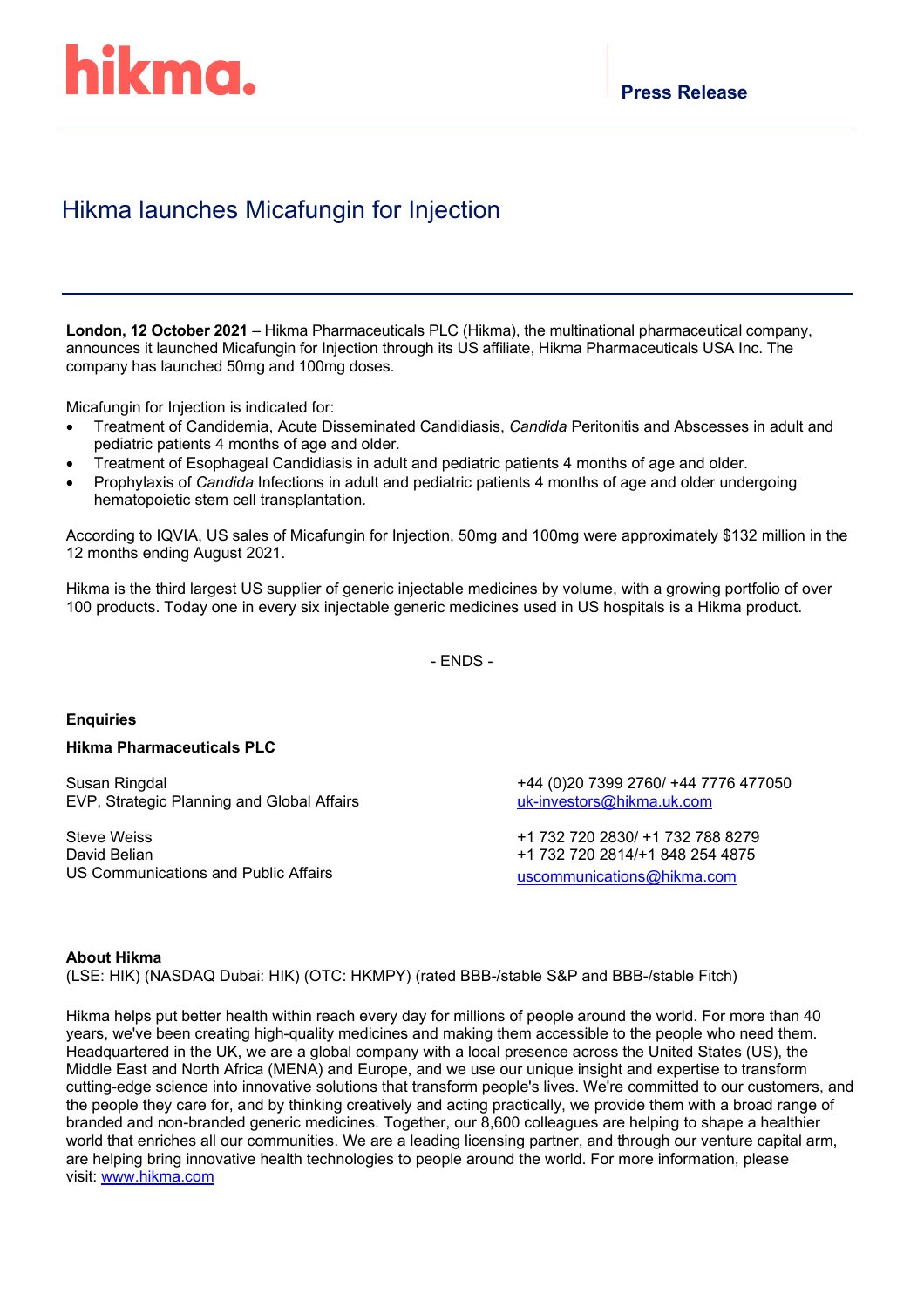# hikma.

### Hikma launches Micafungin for Injection

**London, 12 October 2021** – Hikma Pharmaceuticals PLC (Hikma), the multinational pharmaceutical company, announces it launched Micafungin for Injection through its US affiliate, Hikma Pharmaceuticals USA Inc. The company has launched 50mg and 100mg doses.

Micafungin for Injection is indicated for:

- Treatment of Candidemia, Acute Disseminated Candidiasis, *Candida* Peritonitis and Abscesses in adult and pediatric patients 4 months of age and older*.*
- Treatment of Esophageal Candidiasis in adult and pediatric patients 4 months of age and older*.*
- Prophylaxis of *Candida* Infections in adult and pediatric patients 4 months of age and older undergoing hematopoietic stem cell transplantation*.*

According to IQVIA, US sales of Micafungin for Injection, 50mg and 100mg were approximately \$132 million in the 12 months ending August 2021.

Hikma is the third largest US supplier of generic injectable medicines by volume, with a growing portfolio of over 100 products. Today one in every six injectable generic medicines used in US hospitals is a Hikma product.

- ENDS -

#### **Enquiries**

#### **Hikma Pharmaceuticals PLC**

Susan Ringdal EVP, Strategic Planning and Global Affairs

Steve Weiss David Belian US Communications and Public Affairs +44 (0)20 7399 2760/ +44 7776 477050 [uk-investors@hikma.uk.com](mailto:uk-investors@hikma.uk.com)

+1 732 720 2830/ +1 732 788 8279 +1 732 720 2814/+1 848 254 4875 [uscommunications@hikma.com](mailto:sweiss@hikma.com)

#### **About Hikma**

(LSE: HIK) (NASDAQ Dubai: HIK) (OTC: HKMPY) (rated BBB-/stable S&P and BBB-/stable Fitch)

Hikma helps put better health within reach every day for millions of people around the world. For more than 40 years, we've been creating high-quality medicines and making them accessible to the people who need them. Headquartered in the UK, we are a global company with a local presence across the United States (US), the Middle East and North Africa (MENA) and Europe, and we use our unique insight and expertise to transform cutting-edge science into innovative solutions that transform people's lives. We're committed to our customers, and the people they care for, and by thinking creatively and acting practically, we provide them with a broad range of branded and non-branded generic medicines. Together, our 8,600 colleagues are helping to shape a healthier world that enriches all our communities. We are a leading licensing partner, and through our venture capital arm, are helping bring innovative health technologies to people around the world. For more information, please visit: [www.hikma.com](https://nam04.safelinks.protection.outlook.com/?url=https%3A%2F%2Fc212.net%2Fc%2Flink%2F%3Ft%3D0%26l%3Den%26o%3D2531421-1%26h%3D3823969217%26u%3Dhttp%253A%252F%252Fwww.hikma.com%252F%26a%3Dwww.hikma.com&data=02%7C01%7Csweiss%40Hikma.com%7C4a35048c8c764c63c86308d70efbac9e%7C178c1a723d3c40afbaa754615303bcdc%7C0%7C1%7C636994346427346162&sdata=lHZaoOb0u30Y6re6yfLW1Ar4vvBS%2FnjEUNdB00TBaTI%3D&reserved=0)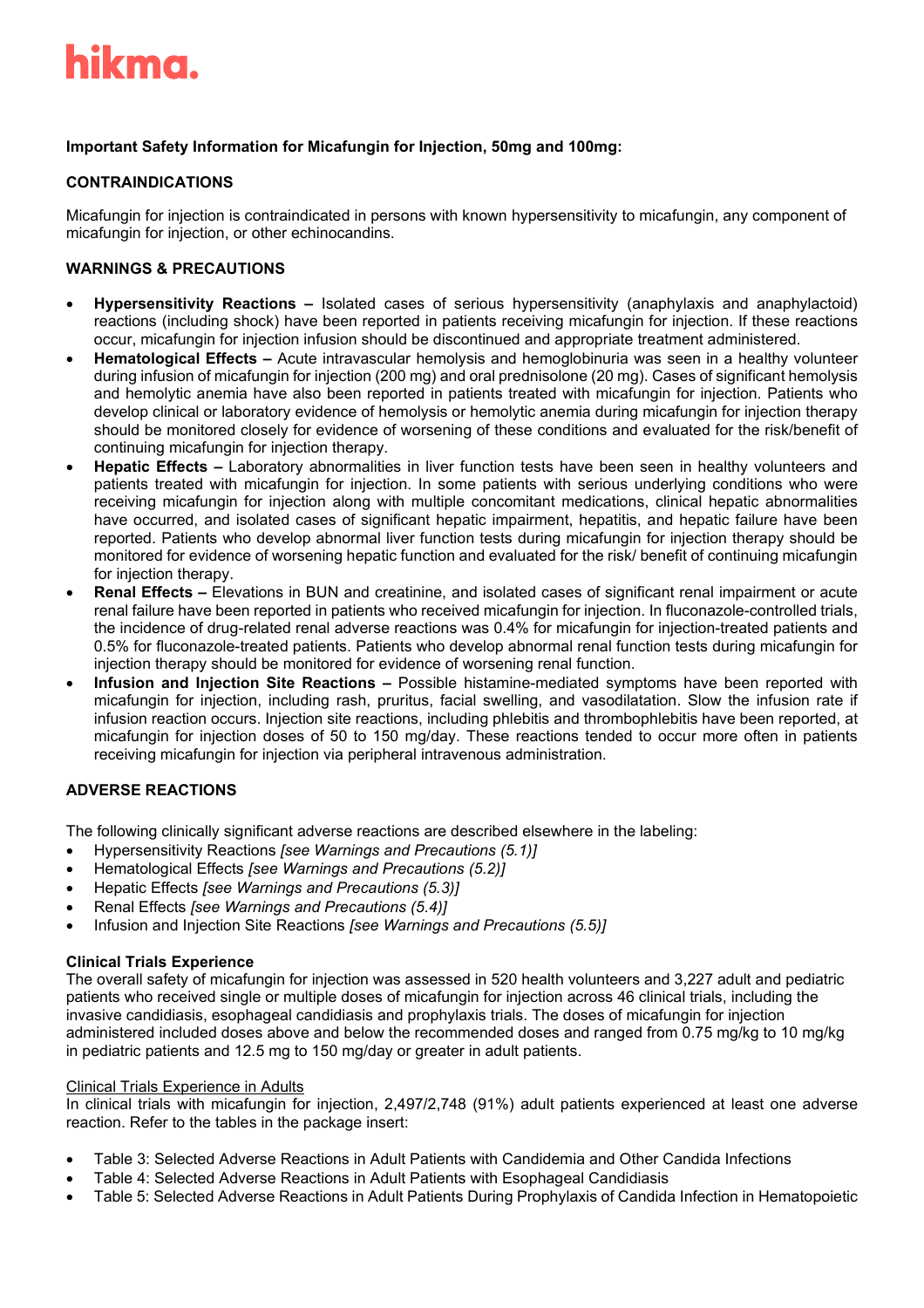

#### **Important Safety Information for Micafungin for Injection, 50mg and 100mg:**

#### **CONTRAINDICATIONS**

Micafungin for injection is contraindicated in persons with known hypersensitivity to micafungin, any component of micafungin for injection, or other echinocandins.

#### **WARNINGS & PRECAUTIONS**

- **Hypersensitivity Reactions –** Isolated cases of serious hypersensitivity (anaphylaxis and anaphylactoid) reactions (including shock) have been reported in patients receiving micafungin for injection. If these reactions occur, micafungin for injection infusion should be discontinued and appropriate treatment administered.
- **Hematological Effects –** Acute intravascular hemolysis and hemoglobinuria was seen in a healthy volunteer during infusion of micafungin for injection (200 mg) and oral prednisolone (20 mg). Cases of significant hemolysis and hemolytic anemia have also been reported in patients treated with micafungin for injection. Patients who develop clinical or laboratory evidence of hemolysis or hemolytic anemia during micafungin for injection therapy should be monitored closely for evidence of worsening of these conditions and evaluated for the risk/benefit of continuing micafungin for injection therapy.
- **Hepatic Effects –** Laboratory abnormalities in liver function tests have been seen in healthy volunteers and patients treated with micafungin for injection. In some patients with serious underlying conditions who were receiving micafungin for injection along with multiple concomitant medications, clinical hepatic abnormalities have occurred, and isolated cases of significant hepatic impairment, hepatitis, and hepatic failure have been reported. Patients who develop abnormal liver function tests during micafungin for injection therapy should be monitored for evidence of worsening hepatic function and evaluated for the risk/ benefit of continuing micafungin for injection therapy.
- **Renal Effects –** Elevations in BUN and creatinine, and isolated cases of significant renal impairment or acute renal failure have been reported in patients who received micafungin for injection. In fluconazole-controlled trials, the incidence of drug-related renal adverse reactions was 0.4% for micafungin for injection-treated patients and 0.5% for fluconazole-treated patients. Patients who develop abnormal renal function tests during micafungin for injection therapy should be monitored for evidence of worsening renal function.
- **Infusion and Injection Site Reactions –** Possible histamine-mediated symptoms have been reported with micafungin for injection, including rash, pruritus, facial swelling, and vasodilatation. Slow the infusion rate if infusion reaction occurs. Injection site reactions, including phlebitis and thrombophlebitis have been reported, at micafungin for injection doses of 50 to 150 mg/day. These reactions tended to occur more often in patients receiving micafungin for injection via peripheral intravenous administration.

#### **ADVERSE REACTIONS**

The following clinically significant adverse reactions are described elsewhere in the labeling:

- Hypersensitivity Reactions *[see Warnings and Precautions (5.1)]*
- Hematological Effects *[see Warnings and Precautions (5.2)]*
- Hepatic Effects *[see Warnings and Precautions (5.3)]*
- Renal Effects *[see Warnings and Precautions (5.4)]*
- Infusion and Injection Site Reactions *[see Warnings and Precautions (5.5)]*

#### **Clinical Trials Experience**

The overall safety of micafungin for injection was assessed in 520 health volunteers and 3,227 adult and pediatric patients who received single or multiple doses of micafungin for injection across 46 clinical trials, including the invasive candidiasis, esophageal candidiasis and prophylaxis trials. The doses of micafungin for injection administered included doses above and below the recommended doses and ranged from 0.75 mg/kg to 10 mg/kg in pediatric patients and 12.5 mg to 150 mg/day or greater in adult patients.

#### Clinical Trials Experience in Adults

In clinical trials with micafungin for injection, 2,497/2,748 (91%) adult patients experienced at least one adverse reaction. Refer to the tables in the package insert:

- Table 3: Selected Adverse Reactions in Adult Patients with Candidemia and Other Candida Infections
- Table 4: Selected Adverse Reactions in Adult Patients with Esophageal Candidiasis
- Table 5: Selected Adverse Reactions in Adult Patients During Prophylaxis of Candida Infection in Hematopoietic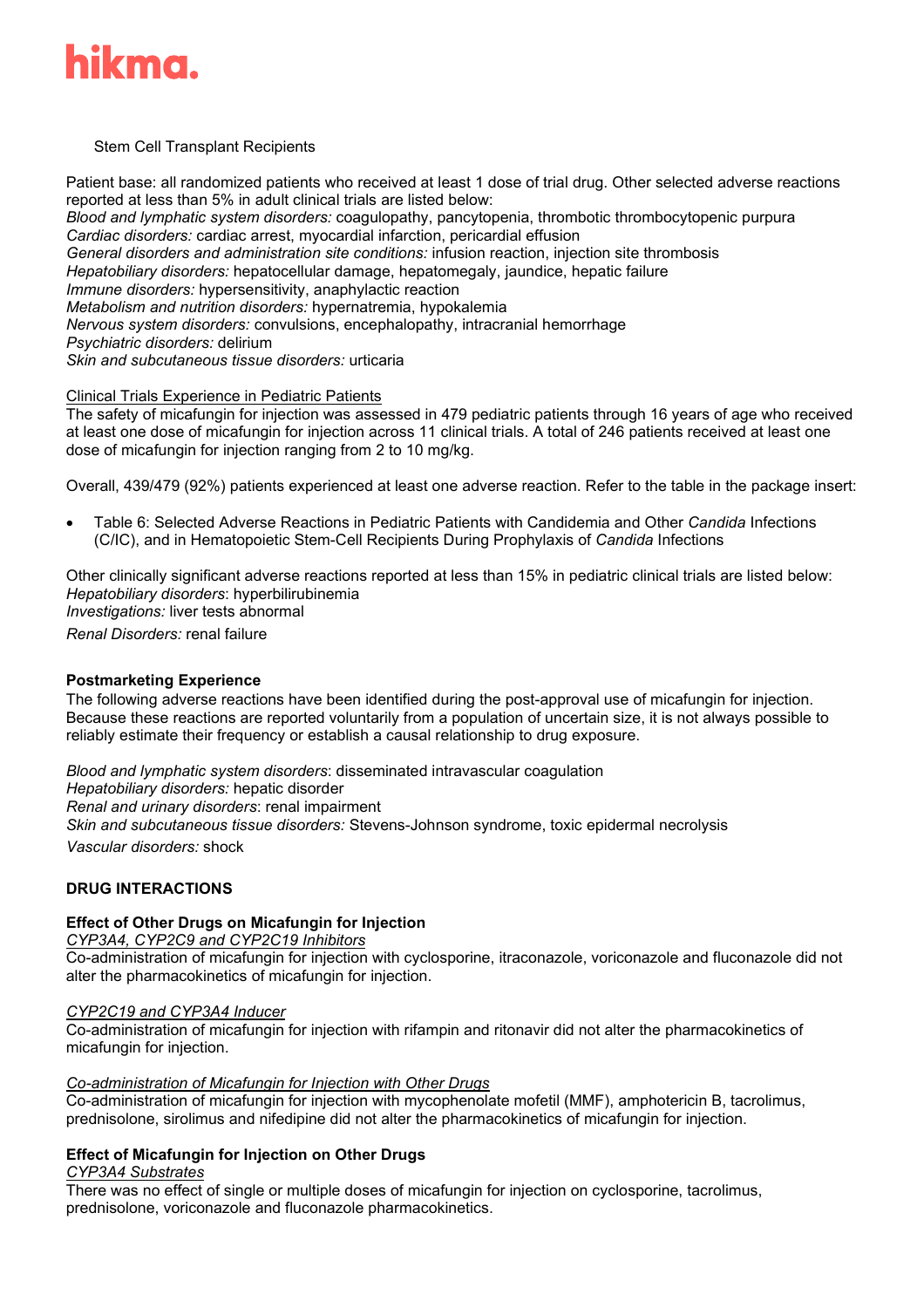

#### Stem Cell Transplant Recipients

Patient base: all randomized patients who received at least 1 dose of trial drug. Other selected adverse reactions reported at less than 5% in adult clinical trials are listed below: *Blood and lymphatic system disorders:* coagulopathy, pancytopenia, thrombotic thrombocytopenic purpura *Cardiac disorders:* cardiac arrest, myocardial infarction, pericardial effusion *General disorders and administration site conditions:* infusion reaction, injection site thrombosis *Hepatobiliary disorders:* hepatocellular damage, hepatomegaly, jaundice, hepatic failure *Immune disorders:* hypersensitivity, anaphylactic reaction *Metabolism and nutrition disorders:* hypernatremia, hypokalemia *Nervous system disorders:* convulsions, encephalopathy, intracranial hemorrhage *Psychiatric disorders:* delirium *Skin and subcutaneous tissue disorders:* urticaria

#### Clinical Trials Experience in Pediatric Patients

The safety of micafungin for injection was assessed in 479 pediatric patients through 16 years of age who received at least one dose of micafungin for injection across 11 clinical trials. A total of 246 patients received at least one dose of micafungin for injection ranging from 2 to 10 mg/kg.

Overall, 439/479 (92%) patients experienced at least one adverse reaction. Refer to the table in the package insert:

• Table 6: Selected Adverse Reactions in Pediatric Patients with Candidemia and Other *Candida* Infections (C/IC), and in Hematopoietic Stem-Cell Recipients During Prophylaxis of *Candida* Infections

Other clinically significant adverse reactions reported at less than 15% in pediatric clinical trials are listed below: *Hepatobiliary disorders*: hyperbilirubinemia *Investigations:* liver tests abnormal *Renal Disorders:* renal failure

#### **Postmarketing Experience**

The following adverse reactions have been identified during the post-approval use of micafungin for injection. Because these reactions are reported voluntarily from a population of uncertain size, it is not always possible to reliably estimate their frequency or establish a causal relationship to drug exposure.

*Blood and lymphatic system disorders*: disseminated intravascular coagulation *Hepatobiliary disorders:* hepatic disorder

*Renal and urinary disorders*: renal impairment

*Skin and subcutaneous tissue disorders:* Stevens-Johnson syndrome, toxic epidermal necrolysis

*Vascular disorders:* shock

#### **DRUG INTERACTIONS**

#### **Effect of Other Drugs on Micafungin for Injection**

*CYP3A4, CYP2C9 and CYP2C19 Inhibitors*

Co-administration of micafungin for injection with cyclosporine, itraconazole, voriconazole and fluconazole did not alter the pharmacokinetics of micafungin for injection.

#### *CYP2C19 and CYP3A4 Inducer*

Co-administration of micafungin for injection with rifampin and ritonavir did not alter the pharmacokinetics of micafungin for injection.

#### *Co-administration of Micafungin for Injection with Other Drugs*

Co-administration of micafungin for injection with mycophenolate mofetil (MMF), amphotericin B, tacrolimus, prednisolone, sirolimus and nifedipine did not alter the pharmacokinetics of micafungin for injection.

#### **Effect of Micafungin for Injection on Other Drugs**

#### *CYP3A4 Substrates*

There was no effect of single or multiple doses of micafungin for injection on cyclosporine, tacrolimus, prednisolone, voriconazole and fluconazole pharmacokinetics.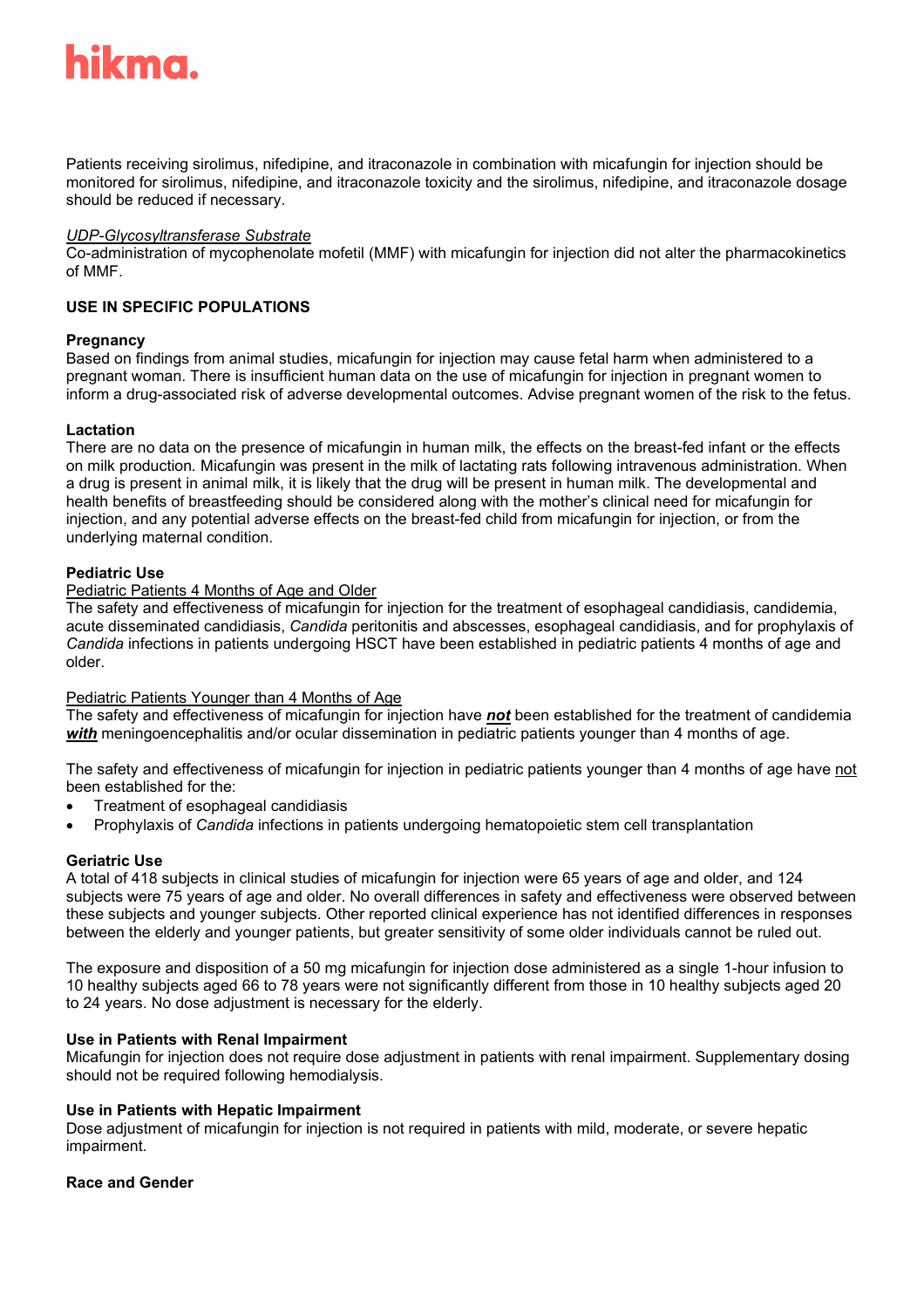## ikma.

Patients receiving sirolimus, nifedipine, and itraconazole in combination with micafungin for injection should be monitored for sirolimus, nifedipine, and itraconazole toxicity and the sirolimus, nifedipine, and itraconazole dosage should be reduced if necessary.

#### *UDP-Glycosyltransferase Substrate*

Co-administration of mycophenolate mofetil (MMF) with micafungin for injection did not alter the pharmacokinetics of MMF.

#### **USE IN SPECIFIC POPULATIONS**

#### **Pregnancy**

Based on findings from animal studies, micafungin for injection may cause fetal harm when administered to a pregnant woman. There is insufficient human data on the use of micafungin for injection in pregnant women to inform a drug-associated risk of adverse developmental outcomes. Advise pregnant women of the risk to the fetus.

#### **Lactation**

There are no data on the presence of micafungin in human milk, the effects on the breast-fed infant or the effects on milk production*.* Micafungin was present in the milk of lactating rats following intravenous administration. When a drug is present in animal milk, it is likely that the drug will be present in human milk. The developmental and health benefits of breastfeeding should be considered along with the mother's clinical need for micafungin for injection, and any potential adverse effects on the breast-fed child from micafungin for injection, or from the underlying maternal condition.

#### **Pediatric Use**

#### Pediatric Patients 4 Months of Age and Older

The safety and effectiveness of micafungin for injection for the treatment of esophageal candidiasis, candidemia, acute disseminated candidiasis, *Candida* peritonitis and abscesses, esophageal candidiasis, and for prophylaxis of *Candida* infections in patients undergoing HSCT have been established in pediatric patients 4 months of age and older.

#### Pediatric Patients Younger than 4 Months of Age

The safety and effectiveness of micafungin for injection have *not* been established for the treatment of candidemia *with* meningoencephalitis and/or ocular dissemination in pediatric patients younger than 4 months of age.

The safety and effectiveness of micafungin for injection in pediatric patients younger than 4 months of age have not been established for the:

- Treatment of esophageal candidiasis
- Prophylaxis of *Candida* infections in patients undergoing hematopoietic stem cell transplantation

#### **Geriatric Use**

A total of 418 subjects in clinical studies of micafungin for injection were 65 years of age and older, and 124 subjects were 75 years of age and older. No overall differences in safety and effectiveness were observed between these subjects and younger subjects. Other reported clinical experience has not identified differences in responses between the elderly and younger patients, but greater sensitivity of some older individuals cannot be ruled out.

The exposure and disposition of a 50 mg micafungin for injection dose administered as a single 1-hour infusion to 10 healthy subjects aged 66 to 78 years were not significantly different from those in 10 healthy subjects aged 20 to 24 years. No dose adjustment is necessary for the elderly.

#### **Use in Patients with Renal Impairment**

Micafungin for injection does not require dose adjustment in patients with renal impairment. Supplementary dosing should not be required following hemodialysis.

#### **Use in Patients with Hepatic Impairment**

Dose adjustment of micafungin for injection is not required in patients with mild, moderate, or severe hepatic impairment.

#### **Race and Gender**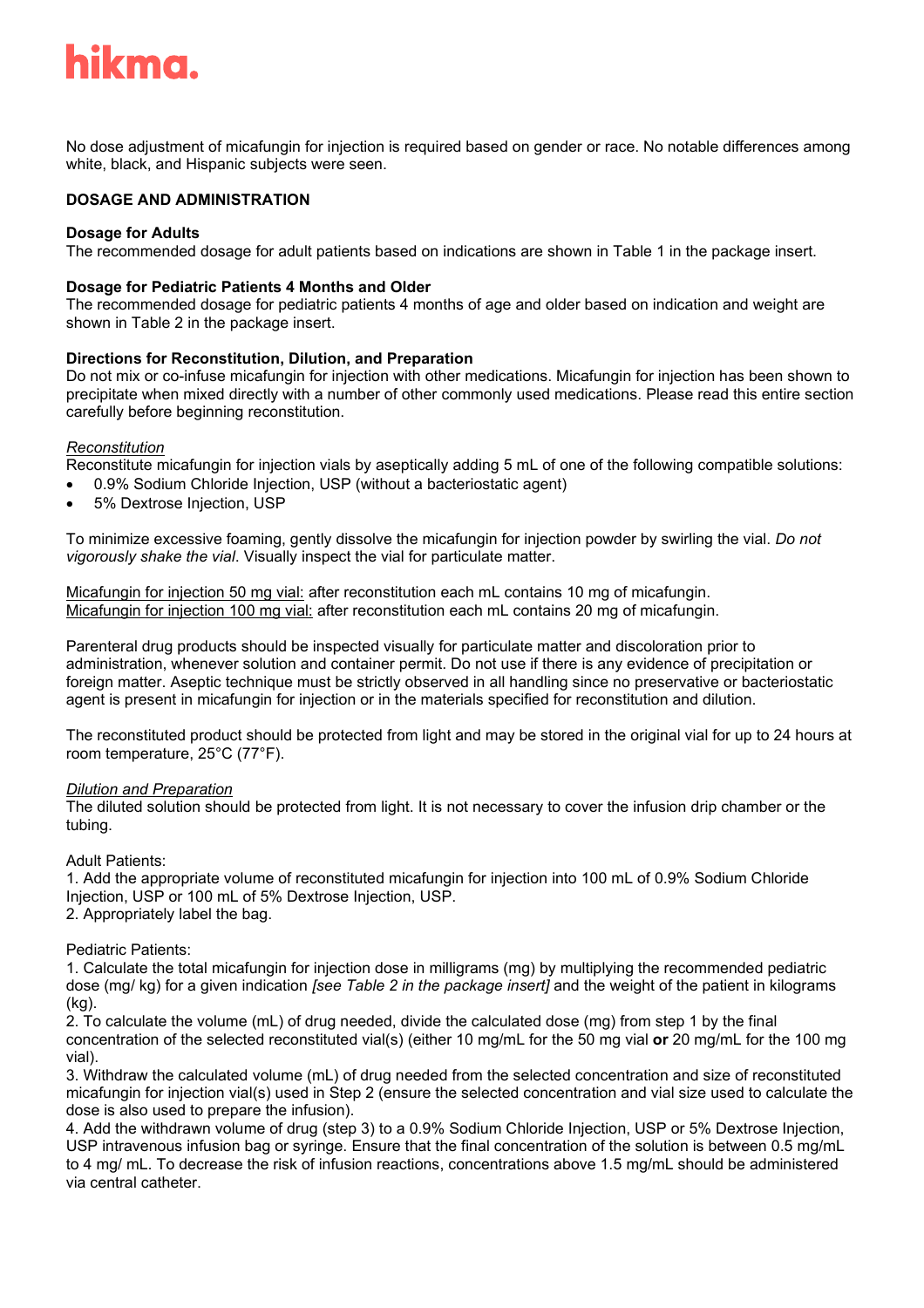## hikma.

No dose adjustment of micafungin for injection is required based on gender or race. No notable differences among white, black, and Hispanic subjects were seen.

#### **DOSAGE AND ADMINISTRATION**

#### **Dosage for Adults**

The recommended dosage for adult patients based on indications are shown in Table 1 in the package insert.

#### **Dosage for Pediatric Patients 4 Months and Older**

The recommended dosage for pediatric patients 4 months of age and older based on indication and weight are shown in Table 2 in the package insert.

#### **Directions for Reconstitution, Dilution, and Preparation**

Do not mix or co-infuse micafungin for injection with other medications. Micafungin for injection has been shown to precipitate when mixed directly with a number of other commonly used medications. Please read this entire section carefully before beginning reconstitution.

#### *Reconstitution*

Reconstitute micafungin for injection vials by aseptically adding 5 mL of one of the following compatible solutions:

- 0.9% Sodium Chloride Injection, USP (without a bacteriostatic agent)
- 5% Dextrose Injection, USP

To minimize excessive foaming, gently dissolve the micafungin for injection powder by swirling the vial. *Do not vigorously shake the vial*. Visually inspect the vial for particulate matter.

Micafungin for injection 50 mg vial: after reconstitution each mL contains 10 mg of micafungin. Micafungin for injection 100 mg vial: after reconstitution each mL contains 20 mg of micafungin.

Parenteral drug products should be inspected visually for particulate matter and discoloration prior to administration, whenever solution and container permit. Do not use if there is any evidence of precipitation or foreign matter. Aseptic technique must be strictly observed in all handling since no preservative or bacteriostatic agent is present in micafungin for injection or in the materials specified for reconstitution and dilution.

The reconstituted product should be protected from light and may be stored in the original vial for up to 24 hours at room temperature, 25°C (77°F).

#### *Dilution and Preparation*

The diluted solution should be protected from light. It is not necessary to cover the infusion drip chamber or the tubing.

#### Adult Patients:

1. Add the appropriate volume of reconstituted micafungin for injection into 100 mL of 0.9% Sodium Chloride Injection, USP or 100 mL of 5% Dextrose Injection, USP.

2. Appropriately label the bag.

#### Pediatric Patients:

1. Calculate the total micafungin for injection dose in milligrams (mg) by multiplying the recommended pediatric dose (mg/ kg) for a given indication *[see Table 2 in the package insert]* and the weight of the patient in kilograms (kg).

2. To calculate the volume (mL) of drug needed, divide the calculated dose (mg) from step 1 by the final concentration of the selected reconstituted vial(s) (either 10 mg/mL for the 50 mg vial **or** 20 mg/mL for the 100 mg vial).

3. Withdraw the calculated volume (mL) of drug needed from the selected concentration and size of reconstituted micafungin for injection vial(s) used in Step 2 (ensure the selected concentration and vial size used to calculate the dose is also used to prepare the infusion).

4. Add the withdrawn volume of drug (step 3) to a 0.9% Sodium Chloride Injection, USP or 5% Dextrose Injection, USP intravenous infusion bag or syringe. Ensure that the final concentration of the solution is between 0.5 mg/mL to 4 mg/ mL. To decrease the risk of infusion reactions, concentrations above 1.5 mg/mL should be administered via central catheter.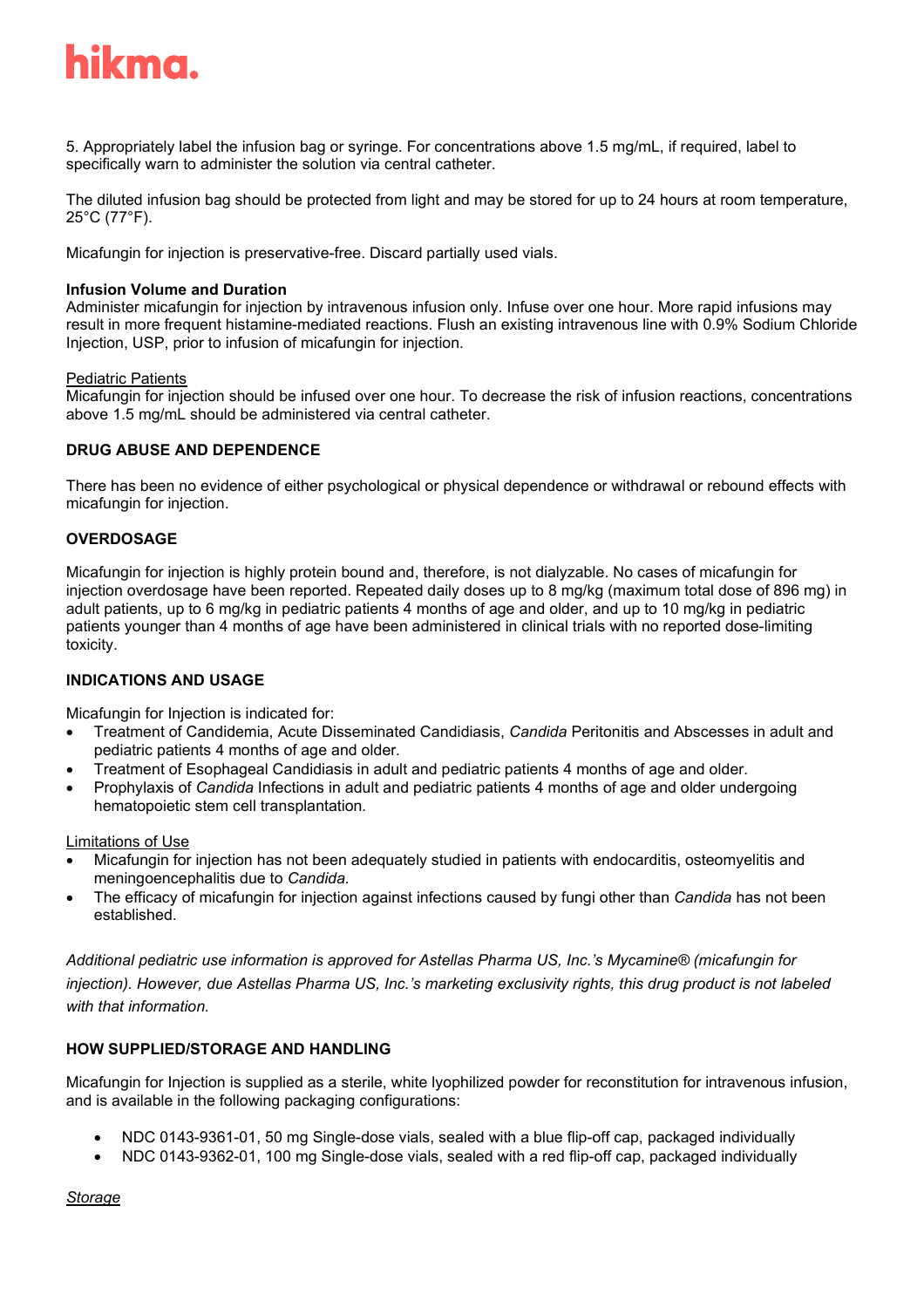

5. Appropriately label the infusion bag or syringe. For concentrations above 1.5 mg/mL, if required, label to specifically warn to administer the solution via central catheter.

The diluted infusion bag should be protected from light and may be stored for up to 24 hours at room temperature, 25°C (77°F).

Micafungin for injection is preservative-free. Discard partially used vials.

#### **Infusion Volume and Duration**

Administer micafungin for injection by intravenous infusion only. Infuse over one hour. More rapid infusions may result in more frequent histamine-mediated reactions. Flush an existing intravenous line with 0.9% Sodium Chloride Injection, USP, prior to infusion of micafungin for injection.

#### Pediatric Patients

Micafungin for injection should be infused over one hour. To decrease the risk of infusion reactions, concentrations above 1.5 mg/mL should be administered via central catheter.

#### **DRUG ABUSE AND DEPENDENCE**

There has been no evidence of either psychological or physical dependence or withdrawal or rebound effects with micafungin for injection.

#### **OVERDOSAGE**

Micafungin for injection is highly protein bound and, therefore, is not dialyzable. No cases of micafungin for injection overdosage have been reported. Repeated daily doses up to 8 mg/kg (maximum total dose of 896 mg) in adult patients, up to 6 mg/kg in pediatric patients 4 months of age and older, and up to 10 mg/kg in pediatric patients younger than 4 months of age have been administered in clinical trials with no reported dose-limiting toxicity.

#### **INDICATIONS AND USAGE**

Micafungin for Injection is indicated for:

- Treatment of Candidemia, Acute Disseminated Candidiasis, *Candida* Peritonitis and Abscesses in adult and pediatric patients 4 months of age and older*.*
- Treatment of Esophageal Candidiasis in adult and pediatric patients 4 months of age and older*.*
- Prophylaxis of *Candida* Infections in adult and pediatric patients 4 months of age and older undergoing hematopoietic stem cell transplantation*.*

#### Limitations of Use

- Micafungin for injection has not been adequately studied in patients with endocarditis, osteomyelitis and meningoencephalitis due to *Candida.*
- The efficacy of micafungin for injection against infections caused by fungi other than *Candida* has not been established.

*Additional pediatric use information is approved for Astellas Pharma US, Inc.'s Mycamine® (micafungin for injection). However, due Astellas Pharma US, Inc.'s marketing exclusivity rights, this drug product is not labeled with that information.*

#### **HOW SUPPLIED/STORAGE AND HANDLING**

Micafungin for Injection is supplied as a sterile, white lyophilized powder for reconstitution for intravenous infusion, and is available in the following packaging configurations:

- NDC 0143-9361-01, 50 mg Single-dose vials, sealed with a blue flip-off cap, packaged individually
- NDC 0143-9362-01, 100 mg Single-dose vials, sealed with a red flip-off cap, packaged individually

*Storage*